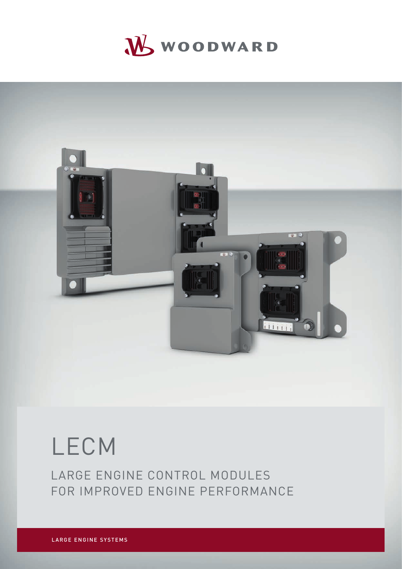# WWOODWARD



# LECM

LARGE ENGINE CONTROL MODULES FOR IMPROVED ENGINE PERFORMANCE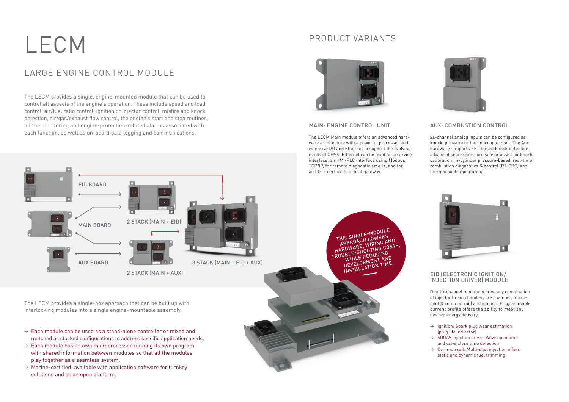# LECM

## LARGE ENGINE CONTROL MODULE

#### EID (ELECTRONIC IGNITION/ INJECTION DRIVER) MODULE

#### MAIN: ENGINE CONTROL UNIT

The LECM Main module offers an advanced hardware architecture with a powerful processor and extensive I/O and Ethernet to support the evolving needs of OEMs. Ethernet can be used for a service interface, an HMI/PLC interface using Modbus

#### AUX: COMBUSTION CONTROL

24-channel analog inputs can be configured as knock, pressure or thermocouple input. The Aux hardware supports FFT-based knock detection, advanced knock: pressure sensor assist for knock calibration, in-cylinder pressure-based, real-time combustion diagnostics & control (RT-CDC) and thermocouple monitoring.





- $\rightarrow$  Each module can be used as a stand-alone controller or mixed and matched as stacked configurations to address specific application needs.
- $\rightarrow$  Each module has its own microprocessor running its own program with shared information between modules so that all the modules play together as a seamless system.
- $\rightarrow$  Marine-certified; available with application software for turnkey solutions and as an open platform.



- $\rightarrow$  Ignition: Spark plug wear estimation (plug life indicator)
- $\rightarrow$  SOGAV injection driver: Valve open time and valve close time detection
- $\rightarrow$  Common rail: Multi-shot injection offers static and dynamic fuel trimming

The LECM provides a single, engine-mounted module that can be used to control all aspects of the engine's operation. These include speed and load control, air/fuel ratio control, ignition or injector control, misfire and knock detection, air/gas/exhaust flow control, the engine's start and stop routines, all the monitoring and engine-protection-related alarms associated with each function, as well as on-board data logging and communications.

The LECM provides a single-box approach that can be built up with interlocking modules into a single engine-mountable assembly.

### PRODUCT VARIANTS



One 20-channel module to drive any combination of injector (main chamber, pre chamber, micropilot & common rail) and ignition. Programmable current profile offers the ability to meet any desired energy delivery.